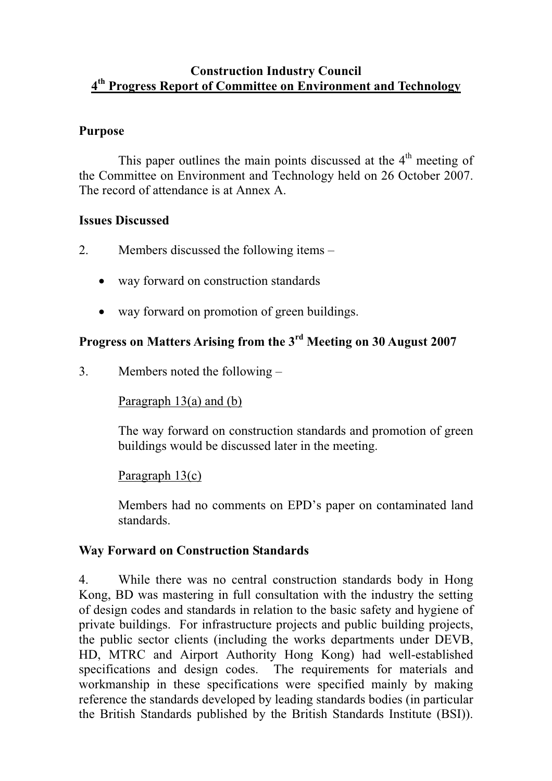## **Construction Industry Council 4th Progress Report of Committee on Environment and Technology**

## **Purpose**

This paper outlines the main points discussed at the  $4<sup>th</sup>$  meeting of the Committee on Environment and Technology held on 26 October 2007. The record of attendance is at Annex A.

## **Issues Discussed**

- 2. Members discussed the following items
	- way forward on construction standards
	- way forward on promotion of green buildings.

# **Progress on Matters Arising from the 3rd Meeting on 30 August 2007**

3. Members noted the following –

## Paragraph 13(a) and (b)

The way forward on construction standards and promotion of green buildings would be discussed later in the meeting.

## Paragraph 13(c)

Members had no comments on EPD's paper on contaminated land standards.

## **Way Forward on Construction Standards**

4. While there was no central construction standards body in Hong Kong, BD was mastering in full consultation with the industry the setting of design codes and standards in relation to the basic safety and hygiene of private buildings. For infrastructure projects and public building projects, the public sector clients (including the works departments under DEVB, HD, MTRC and Airport Authority Hong Kong) had well-established specifications and design codes. The requirements for materials and workmanship in these specifications were specified mainly by making reference the standards developed by leading standards bodies (in particular the British Standards published by the British Standards Institute (BSI)).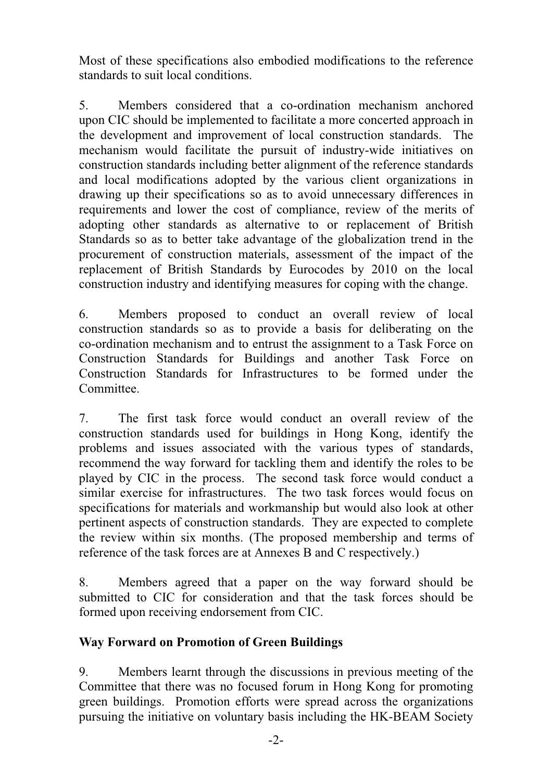Most of these specifications also embodied modifications to the reference standards to suit local conditions.

5. Members considered that a co-ordination mechanism anchored upon CIC should be implemented to facilitate a more concerted approach in the development and improvement of local construction standards. The mechanism would facilitate the pursuit of industry-wide initiatives on construction standards including better alignment of the reference standards and local modifications adopted by the various client organizations in drawing up their specifications so as to avoid unnecessary differences in requirements and lower the cost of compliance, review of the merits of adopting other standards as alternative to or replacement of British Standards so as to better take advantage of the globalization trend in the procurement of construction materials, assessment of the impact of the replacement of British Standards by Eurocodes by 2010 on the local construction industry and identifying measures for coping with the change.

6. Members proposed to conduct an overall review of local construction standards so as to provide a basis for deliberating on the co-ordination mechanism and to entrust the assignment to a Task Force on Construction Standards for Buildings and another Task Force on Construction Standards for Infrastructures to be formed under the Committee.

7. The first task force would conduct an overall review of the construction standards used for buildings in Hong Kong, identify the problems and issues associated with the various types of standards, recommend the way forward for tackling them and identify the roles to be played by CIC in the process. The second task force would conduct a similar exercise for infrastructures. The two task forces would focus on specifications for materials and workmanship but would also look at other pertinent aspects of construction standards. They are expected to complete the review within six months. (The proposed membership and terms of reference of the task forces are at Annexes B and C respectively.)

8. Members agreed that a paper on the way forward should be submitted to CIC for consideration and that the task forces should be formed upon receiving endorsement from CIC.

# **Way Forward on Promotion of Green Buildings**

9. Members learnt through the discussions in previous meeting of the Committee that there was no focused forum in Hong Kong for promoting green buildings. Promotion efforts were spread across the organizations pursuing the initiative on voluntary basis including the HK-BEAM Society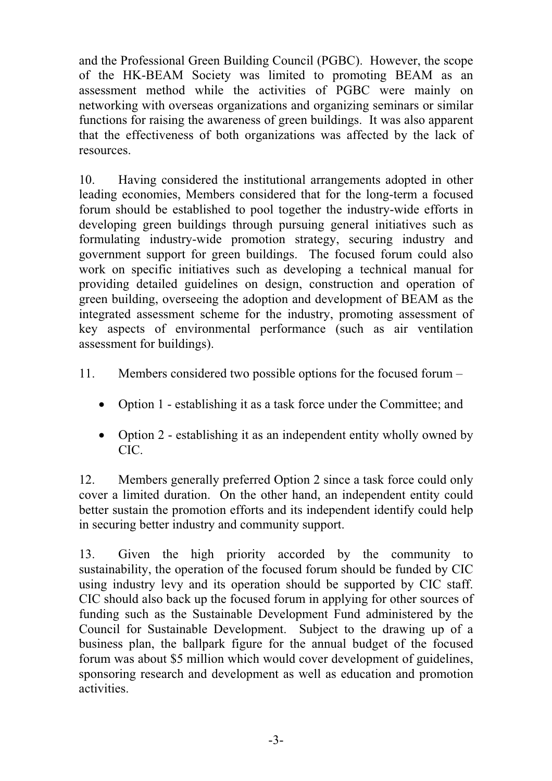and the Professional Green Building Council (PGBC). However, the scope of the HK-BEAM Society was limited to promoting BEAM as an assessment method while the activities of PGBC were mainly on networking with overseas organizations and organizing seminars or similar functions for raising the awareness of green buildings. It was also apparent that the effectiveness of both organizations was affected by the lack of resources.

10. Having considered the institutional arrangements adopted in other leading economies, Members considered that for the long-term a focused forum should be established to pool together the industry-wide efforts in developing green buildings through pursuing general initiatives such as formulating industry-wide promotion strategy, securing industry and government support for green buildings. The focused forum could also work on specific initiatives such as developing a technical manual for providing detailed guidelines on design, construction and operation of green building, overseeing the adoption and development of BEAM as the integrated assessment scheme for the industry, promoting assessment of key aspects of environmental performance (such as air ventilation assessment for buildings).

- 11. Members considered two possible options for the focused forum
	- Option 1 establishing it as a task force under the Committee; and
	- Option 2 establishing it as an independent entity wholly owned by CIC.

12. Members generally preferred Option 2 since a task force could only cover a limited duration. On the other hand, an independent entity could better sustain the promotion efforts and its independent identify could help in securing better industry and community support.

13. Given the high priority accorded by the community to sustainability, the operation of the focused forum should be funded by CIC using industry levy and its operation should be supported by CIC staff. CIC should also back up the focused forum in applying for other sources of funding such as the Sustainable Development Fund administered by the Council for Sustainable Development. Subject to the drawing up of a business plan, the ballpark figure for the annual budget of the focused forum was about \$5 million which would cover development of guidelines, sponsoring research and development as well as education and promotion activities.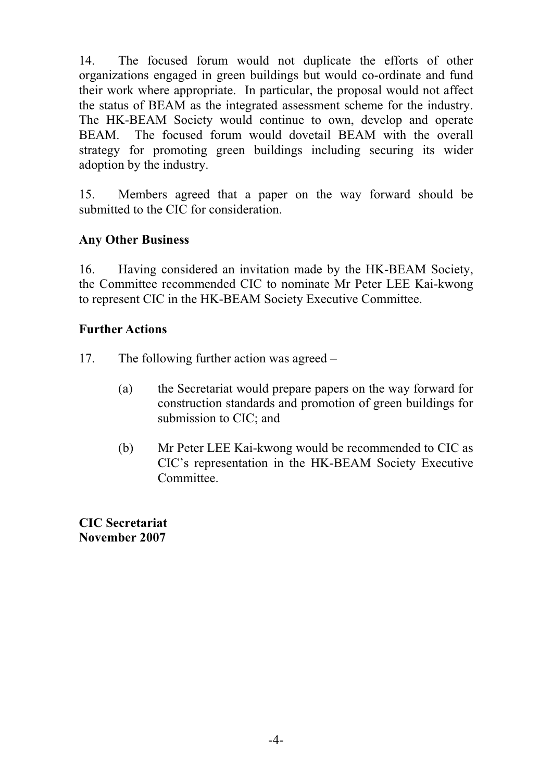14. The focused forum would not duplicate the efforts of other organizations engaged in green buildings but would co-ordinate and fund their work where appropriate. In particular, the proposal would not affect the status of BEAM as the integrated assessment scheme for the industry. The HK-BEAM Society would continue to own, develop and operate BEAM. The focused forum would dovetail BEAM with the overall strategy for promoting green buildings including securing its wider adoption by the industry.

15. Members agreed that a paper on the way forward should be submitted to the CIC for consideration.

# **Any Other Business**

16. Having considered an invitation made by the HK-BEAM Society, the Committee recommended CIC to nominate Mr Peter LEE Kai-kwong to represent CIC in the HK-BEAM Society Executive Committee.

## **Further Actions**

- 17. The following further action was agreed
	- (a) the Secretariat would prepare papers on the way forward for construction standards and promotion of green buildings for submission to CIC; and
	- (b) Mr Peter LEE Kai-kwong would be recommended to CIC as CIC's representation in the HK-BEAM Society Executive Committee.

**CIC Secretariat November 2007**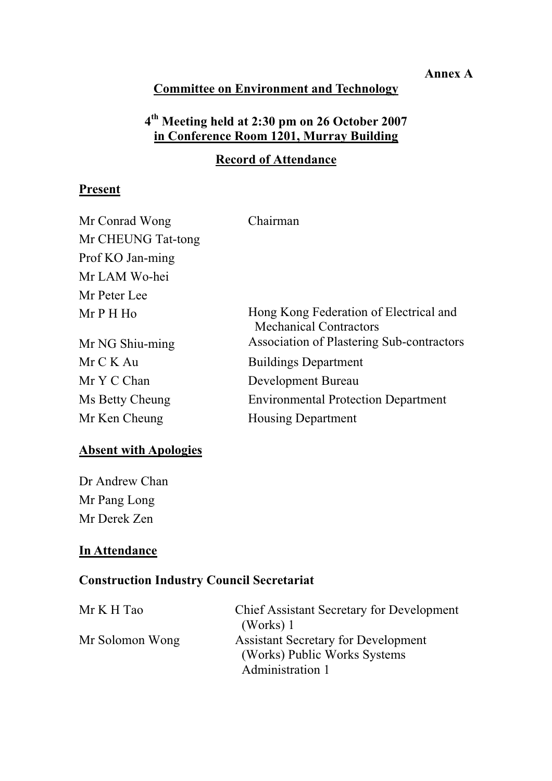#### **Annex A**

# **Committee on Environment and Technology**

# **4th Meeting held at 2:30 pm on 26 October 2007 in Conference Room 1201, Murray Building**

# **Record of Attendance**

## **Present**

| Mr Conrad Wong     | Chairman                                                                |
|--------------------|-------------------------------------------------------------------------|
| Mr CHEUNG Tat-tong |                                                                         |
| Prof KO Jan-ming   |                                                                         |
| Mr LAM Wo-hei      |                                                                         |
| Mr Peter Lee       |                                                                         |
| $MrPH$ Ho          | Hong Kong Federation of Electrical and<br><b>Mechanical Contractors</b> |
| Mr NG Shiu-ming    | Association of Plastering Sub-contractors                               |
| Mr C K Au          | <b>Buildings Department</b>                                             |
| Mr Y C Chan        | Development Bureau                                                      |
| Ms Betty Cheung    | <b>Environmental Protection Department</b>                              |
| Mr Ken Cheung      | <b>Housing Department</b>                                               |

## **Absent with Apologies**

Dr Andrew Chan Mr Pang Long Mr Derek Zen

## **In Attendance**

# **Construction Industry Council Secretariat**

| Mr K H Tao      | <b>Chief Assistant Secretary for Development</b> |
|-----------------|--------------------------------------------------|
|                 | (Works) 1                                        |
| Mr Solomon Wong | <b>Assistant Secretary for Development</b>       |
|                 | (Works) Public Works Systems                     |
|                 | Administration 1                                 |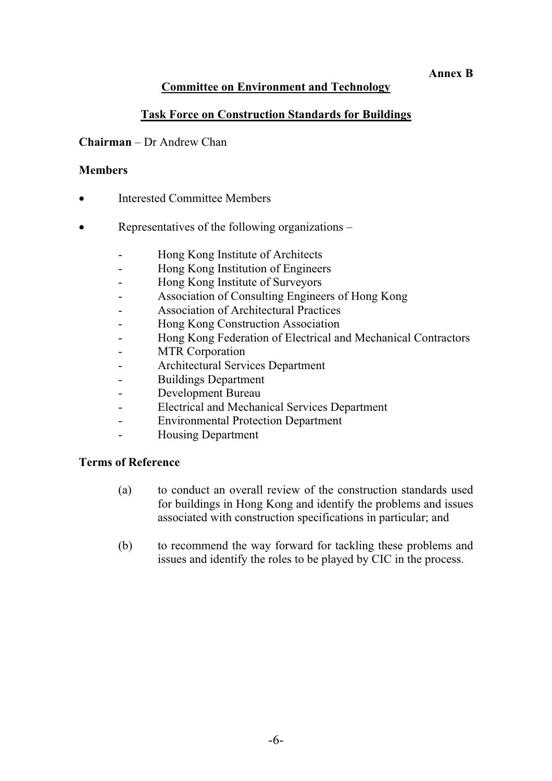#### **Annex B**

#### **Committee on Environment and Technology**

#### **Task Force on Construction Standards for Buildings**

#### **Chairman** – Dr Andrew Chan

#### **Members**

- $\bullet$ Interested Committee Members
- $\bullet$  Representatives of the following organizations –
	- Hong Kong Institute of Architects
	- Hong Kong Institution of Engineers
	- Hong Kong Institute of Surveyors
	- Association of Consulting Engineers of Hong Kong
	- Association of Architectural Practices
	- Hong Kong Construction Association
	- Hong Kong Federation of Electrical and Mechanical Contractors
	- MTR Corporation
	- Architectural Services Department
	- Buildings Department
	- Development Bureau
	- Electrical and Mechanical Services Department
	- Environmental Protection Department
	- Housing Department

#### **Terms of Reference**

- (a) to conduct an overall review of the construction standards used for buildings in Hong Kong and identify the problems and issues associated with construction specifications in particular; and
- (b) to recommend the way forward for tackling these problems and issues and identify the roles to be played by CIC in the process.